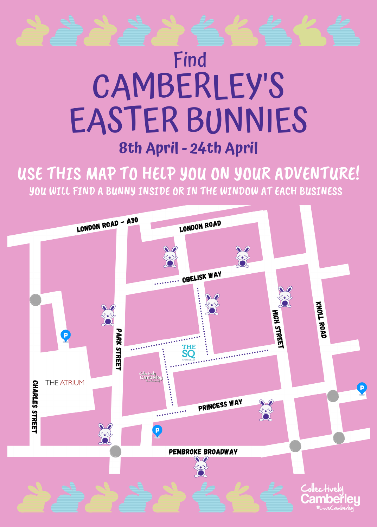## Find CAMBERLEY'S EASTER BUNNIES **8th April - 24th April**

USE THIS MAP TO HELP YOU ON YOUR ADVENTURE! YOU WILL FIND A BUNNY INSIDE OR IN THE WINDOW AT EACH BUSINESS